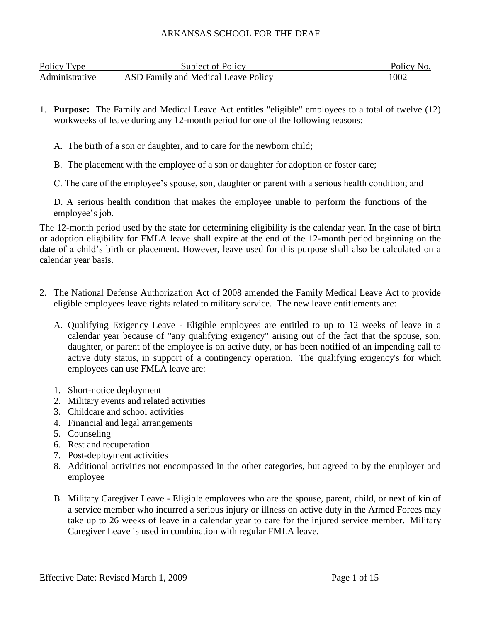| Policy Type    | Subject of Policy                   | Policy No. |
|----------------|-------------------------------------|------------|
| Administrative | ASD Family and Medical Leave Policy | 1002       |

- 1. **Purpose:** The Family and Medical Leave Act entitles "eligible" employees to a total of twelve (12) workweeks of leave during any 12-month period for one of the following reasons:
	- A. The birth of a son or daughter, and to care for the newborn child;
	- B. The placement with the employee of a son or daughter for adoption or foster care;
	- C. The care of the employee's spouse, son, daughter or parent with a serious health condition; and

D. A serious health condition that makes the employee unable to perform the functions of the employee's job.

The 12-month period used by the state for determining eligibility is the calendar year. In the case of birth or adoption eligibility for FMLA leave shall expire at the end of the 12-month period beginning on the date of a child's birth or placement. However, leave used for this purpose shall also be calculated on a calendar year basis.

- 2. The National Defense Authorization Act of 2008 amended the Family Medical Leave Act to provide eligible employees leave rights related to military service. The new leave entitlements are:
	- A. Qualifying Exigency Leave Eligible employees are entitled to up to 12 weeks of leave in a calendar year because of "any qualifying exigency" arising out of the fact that the spouse, son, daughter, or parent of the employee is on active duty, or has been notified of an impending call to active duty status, in support of a contingency operation. The qualifying exigency's for which employees can use FMLA leave are:
	- 1. Short-notice deployment
	- 2. Military events and related activities
	- 3. Childcare and school activities
	- 4. Financial and legal arrangements
	- 5. Counseling
	- 6. Rest and recuperation
	- 7. Post-deployment activities
	- 8. Additional activities not encompassed in the other categories, but agreed to by the employer and employee
	- B. Military Caregiver Leave Eligible employees who are the spouse, parent, child, or next of kin of a service member who incurred a serious injury or illness on active duty in the Armed Forces may take up to 26 weeks of leave in a calendar year to care for the injured service member. Military Caregiver Leave is used in combination with regular FMLA leave.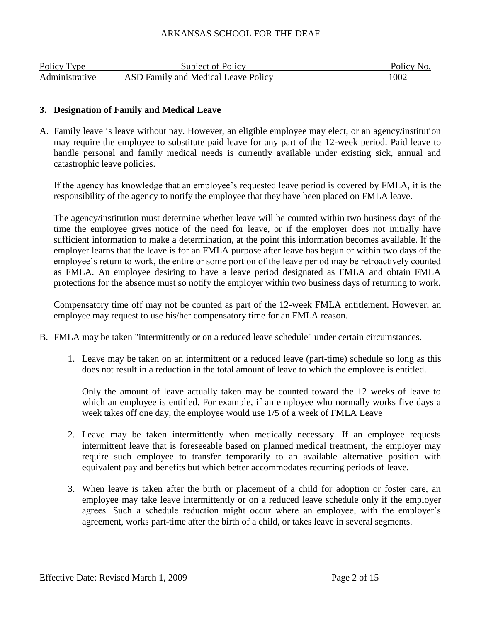| Policy Type    | Subject of Policy                   | Policy No. |
|----------------|-------------------------------------|------------|
| Administrative | ASD Family and Medical Leave Policy | 1002       |

### **3. Designation of Family and Medical Leave**

A. Family leave is leave without pay. However, an eligible employee may elect, or an agency/institution may require the employee to substitute paid leave for any part of the 12-week period. Paid leave to handle personal and family medical needs is currently available under existing sick, annual and catastrophic leave policies.

If the agency has knowledge that an employee's requested leave period is covered by FMLA, it is the responsibility of the agency to notify the employee that they have been placed on FMLA leave.

The agency/institution must determine whether leave will be counted within two business days of the time the employee gives notice of the need for leave, or if the employer does not initially have sufficient information to make a determination, at the point this information becomes available. If the employer learns that the leave is for an FMLA purpose after leave has begun or within two days of the employee's return to work, the entire or some portion of the leave period may be retroactively counted as FMLA. An employee desiring to have a leave period designated as FMLA and obtain FMLA protections for the absence must so notify the employer within two business days of returning to work.

Compensatory time off may not be counted as part of the 12-week FMLA entitlement. However, an employee may request to use his/her compensatory time for an FMLA reason.

- B. FMLA may be taken "intermittently or on a reduced leave schedule" under certain circumstances.
	- 1. Leave may be taken on an intermittent or a reduced leave (part-time) schedule so long as this does not result in a reduction in the total amount of leave to which the employee is entitled.

Only the amount of leave actually taken may be counted toward the 12 weeks of leave to which an employee is entitled. For example, if an employee who normally works five days a week takes off one day, the employee would use 1/5 of a week of FMLA Leave

- 2. Leave may be taken intermittently when medically necessary. If an employee requests intermittent leave that is foreseeable based on planned medical treatment, the employer may require such employee to transfer temporarily to an available alternative position with equivalent pay and benefits but which better accommodates recurring periods of leave.
- 3. When leave is taken after the birth or placement of a child for adoption or foster care, an employee may take leave intermittently or on a reduced leave schedule only if the employer agrees. Such a schedule reduction might occur where an employee, with the employer's agreement, works part-time after the birth of a child, or takes leave in several segments.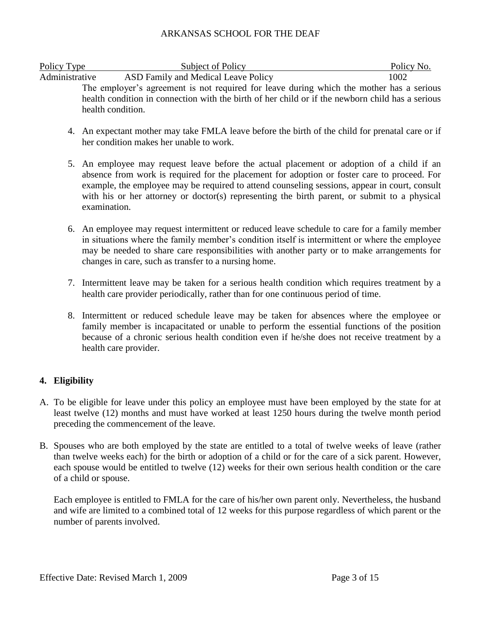| Policy Type    | Subject of Policy                                                                                | Policy No. |
|----------------|--------------------------------------------------------------------------------------------------|------------|
| Administrative | ASD Family and Medical Leave Policy                                                              | 1002       |
|                | The employer's agreement is not required for leave during which the mother has a serious         |            |
|                | health condition in connection with the birth of her child or if the newborn child has a serious |            |
|                | health condition.                                                                                |            |

- 4. An expectant mother may take FMLA leave before the birth of the child for prenatal care or if her condition makes her unable to work.
- 5. An employee may request leave before the actual placement or adoption of a child if an absence from work is required for the placement for adoption or foster care to proceed. For example, the employee may be required to attend counseling sessions, appear in court, consult with his or her attorney or doctor(s) representing the birth parent, or submit to a physical examination.
- 6. An employee may request intermittent or reduced leave schedule to care for a family member in situations where the family member's condition itself is intermittent or where the employee may be needed to share care responsibilities with another party or to make arrangements for changes in care, such as transfer to a nursing home.
- 7. Intermittent leave may be taken for a serious health condition which requires treatment by a health care provider periodically, rather than for one continuous period of time.
- 8. Intermittent or reduced schedule leave may be taken for absences where the employee or family member is incapacitated or unable to perform the essential functions of the position because of a chronic serious health condition even if he/she does not receive treatment by a health care provider.

# **4. Eligibility**

- A. To be eligible for leave under this policy an employee must have been employed by the state for at least twelve (12) months and must have worked at least 1250 hours during the twelve month period preceding the commencement of the leave.
- B. Spouses who are both employed by the state are entitled to a total of twelve weeks of leave (rather than twelve weeks each) for the birth or adoption of a child or for the care of a sick parent. However, each spouse would be entitled to twelve (12) weeks for their own serious health condition or the care of a child or spouse.

Each employee is entitled to FMLA for the care of his/her own parent only. Nevertheless, the husband and wife are limited to a combined total of 12 weeks for this purpose regardless of which parent or the number of parents involved.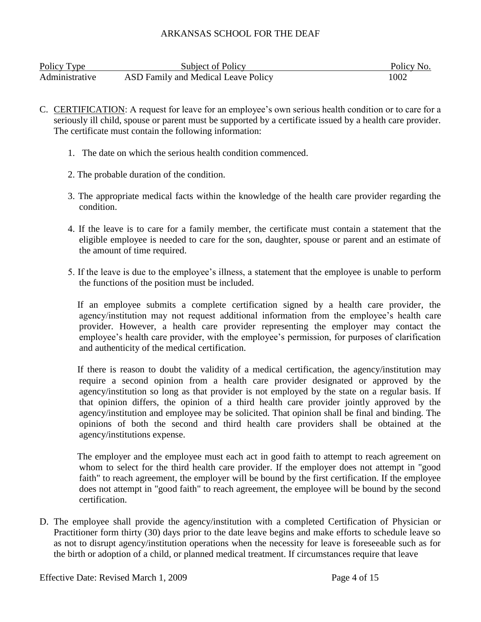| Policy Type    | Subject of Policy                   | Policy No. |
|----------------|-------------------------------------|------------|
| Administrative | ASD Family and Medical Leave Policy | 1002       |

- C. CERTIFICATION: A request for leave for an employee's own serious health condition or to care for a seriously ill child, spouse or parent must be supported by a certificate issued by a health care provider. The certificate must contain the following information:
	- 1. The date on which the serious health condition commenced.
	- 2. The probable duration of the condition.
	- 3. The appropriate medical facts within the knowledge of the health care provider regarding the condition.
	- 4. If the leave is to care for a family member, the certificate must contain a statement that the eligible employee is needed to care for the son, daughter, spouse or parent and an estimate of the amount of time required.
	- 5. If the leave is due to the employee's illness, a statement that the employee is unable to perform the functions of the position must be included.

 If an employee submits a complete certification signed by a health care provider, the agency/institution may not request additional information from the employee's health care provider. However, a health care provider representing the employer may contact the employee's health care provider, with the employee's permission, for purposes of clarification and authenticity of the medical certification.

 If there is reason to doubt the validity of a medical certification, the agency/institution may require a second opinion from a health care provider designated or approved by the agency/institution so long as that provider is not employed by the state on a regular basis. If that opinion differs, the opinion of a third health care provider jointly approved by the agency/institution and employee may be solicited. That opinion shall be final and binding. The opinions of both the second and third health care providers shall be obtained at the agency/institutions expense.

 The employer and the employee must each act in good faith to attempt to reach agreement on whom to select for the third health care provider. If the employer does not attempt in "good faith" to reach agreement, the employer will be bound by the first certification. If the employee does not attempt in "good faith" to reach agreement, the employee will be bound by the second certification.

D. The employee shall provide the agency/institution with a completed Certification of Physician or Practitioner form thirty (30) days prior to the date leave begins and make efforts to schedule leave so as not to disrupt agency/institution operations when the necessity for leave is foreseeable such as for the birth or adoption of a child, or planned medical treatment. If circumstances require that leave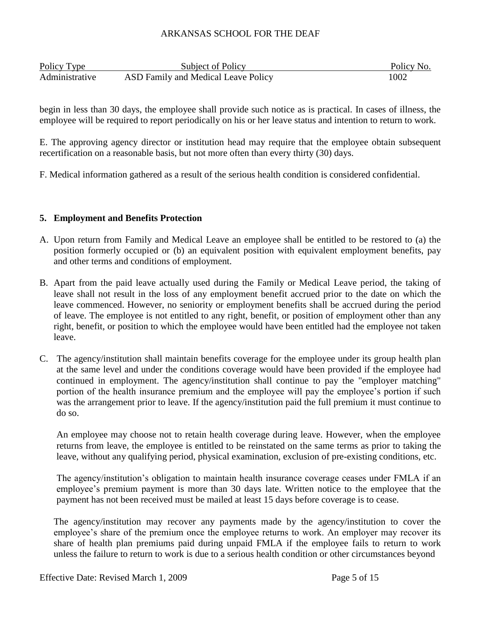| Policy Type    | Subject of Policy                   | Policy No. |
|----------------|-------------------------------------|------------|
| Administrative | ASD Family and Medical Leave Policy | 1002       |

begin in less than 30 days, the employee shall provide such notice as is practical. In cases of illness, the employee will be required to report periodically on his or her leave status and intention to return to work.

E. The approving agency director or institution head may require that the employee obtain subsequent recertification on a reasonable basis, but not more often than every thirty (30) days.

F. Medical information gathered as a result of the serious health condition is considered confidential.

# **5. Employment and Benefits Protection**

- A. Upon return from Family and Medical Leave an employee shall be entitled to be restored to (a) the position formerly occupied or (b) an equivalent position with equivalent employment benefits, pay and other terms and conditions of employment.
- B. Apart from the paid leave actually used during the Family or Medical Leave period, the taking of leave shall not result in the loss of any employment benefit accrued prior to the date on which the leave commenced. However, no seniority or employment benefits shall be accrued during the period of leave. The employee is not entitled to any right, benefit, or position of employment other than any right, benefit, or position to which the employee would have been entitled had the employee not taken leave.
- C. The agency/institution shall maintain benefits coverage for the employee under its group health plan at the same level and under the conditions coverage would have been provided if the employee had continued in employment. The agency/institution shall continue to pay the "employer matching" portion of the health insurance premium and the employee will pay the employee's portion if such was the arrangement prior to leave. If the agency/institution paid the full premium it must continue to do so.

An employee may choose not to retain health coverage during leave. However, when the employee returns from leave, the employee is entitled to be reinstated on the same terms as prior to taking the leave, without any qualifying period, physical examination, exclusion of pre-existing conditions, etc.

The agency/institution's obligation to maintain health insurance coverage ceases under FMLA if an employee's premium payment is more than 30 days late. Written notice to the employee that the payment has not been received must be mailed at least 15 days before coverage is to cease.

The agency/institution may recover any payments made by the agency/institution to cover the employee's share of the premium once the employee returns to work. An employer may recover its share of health plan premiums paid during unpaid FMLA if the employee fails to return to work unless the failure to return to work is due to a serious health condition or other circumstances beyond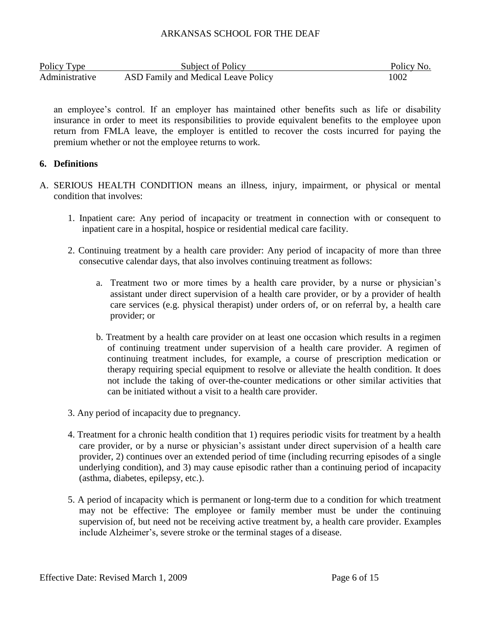| Policy Type    | Subject of Policy                   | Policy No. |
|----------------|-------------------------------------|------------|
| Administrative | ASD Family and Medical Leave Policy | 1002       |

an employee's control. If an employer has maintained other benefits such as life or disability insurance in order to meet its responsibilities to provide equivalent benefits to the employee upon return from FMLA leave, the employer is entitled to recover the costs incurred for paying the premium whether or not the employee returns to work.

#### **6. Definitions**

- A. SERIOUS HEALTH CONDITION means an illness, injury, impairment, or physical or mental condition that involves:
	- 1. Inpatient care: Any period of incapacity or treatment in connection with or consequent to inpatient care in a hospital, hospice or residential medical care facility.
	- 2. Continuing treatment by a health care provider: Any period of incapacity of more than three consecutive calendar days, that also involves continuing treatment as follows:
		- a. Treatment two or more times by a health care provider, by a nurse or physician's assistant under direct supervision of a health care provider, or by a provider of health care services (e.g. physical therapist) under orders of, or on referral by, a health care provider; or
		- b. Treatment by a health care provider on at least one occasion which results in a regimen of continuing treatment under supervision of a health care provider. A regimen of continuing treatment includes, for example, a course of prescription medication or therapy requiring special equipment to resolve or alleviate the health condition. It does not include the taking of over-the-counter medications or other similar activities that can be initiated without a visit to a health care provider.
	- 3. Any period of incapacity due to pregnancy.
	- 4. Treatment for a chronic health condition that 1) requires periodic visits for treatment by a health care provider, or by a nurse or physician's assistant under direct supervision of a health care provider, 2) continues over an extended period of time (including recurring episodes of a single underlying condition), and 3) may cause episodic rather than a continuing period of incapacity (asthma, diabetes, epilepsy, etc.).
	- 5. A period of incapacity which is permanent or long-term due to a condition for which treatment may not be effective: The employee or family member must be under the continuing supervision of, but need not be receiving active treatment by, a health care provider. Examples include Alzheimer's, severe stroke or the terminal stages of a disease.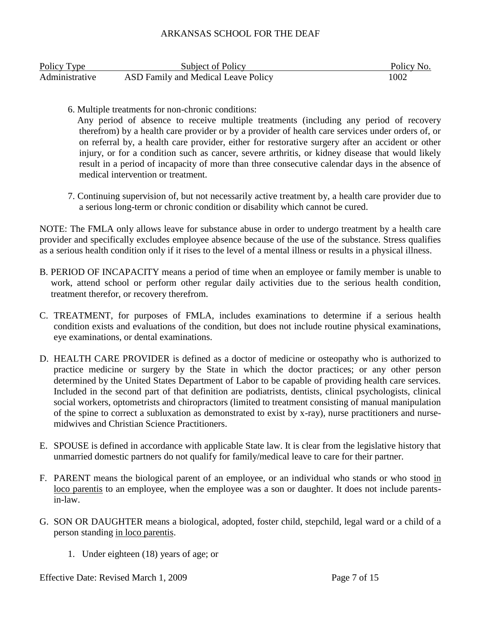| Policy Type    | <b>Subject of Policy</b>            | Policy No. |
|----------------|-------------------------------------|------------|
| Administrative | ASD Family and Medical Leave Policy | 1002       |

6. Multiple treatments for non-chronic conditions:

 Any period of absence to receive multiple treatments (including any period of recovery therefrom) by a health care provider or by a provider of health care services under orders of, or on referral by, a health care provider, either for restorative surgery after an accident or other injury, or for a condition such as cancer, severe arthritis, or kidney disease that would likely result in a period of incapacity of more than three consecutive calendar days in the absence of medical intervention or treatment.

7. Continuing supervision of, but not necessarily active treatment by, a health care provider due to a serious long-term or chronic condition or disability which cannot be cured.

NOTE: The FMLA only allows leave for substance abuse in order to undergo treatment by a health care provider and specifically excludes employee absence because of the use of the substance. Stress qualifies as a serious health condition only if it rises to the level of a mental illness or results in a physical illness.

- B. PERIOD OF INCAPACITY means a period of time when an employee or family member is unable to work, attend school or perform other regular daily activities due to the serious health condition, treatment therefor, or recovery therefrom.
- C. TREATMENT, for purposes of FMLA, includes examinations to determine if a serious health condition exists and evaluations of the condition, but does not include routine physical examinations, eye examinations, or dental examinations.
- D. HEALTH CARE PROVIDER is defined as a doctor of medicine or osteopathy who is authorized to practice medicine or surgery by the State in which the doctor practices; or any other person determined by the United States Department of Labor to be capable of providing health care services. Included in the second part of that definition are podiatrists, dentists, clinical psychologists, clinical social workers, optometrists and chiropractors (limited to treatment consisting of manual manipulation of the spine to correct a subluxation as demonstrated to exist by x-ray), nurse practitioners and nursemidwives and Christian Science Practitioners.
- E. SPOUSE is defined in accordance with applicable State law. It is clear from the legislative history that unmarried domestic partners do not qualify for family/medical leave to care for their partner.
- F. PARENT means the biological parent of an employee, or an individual who stands or who stood in loco parentis to an employee, when the employee was a son or daughter. It does not include parentsin-law.
- G. SON OR DAUGHTER means a biological, adopted, foster child, stepchild, legal ward or a child of a person standing in loco parentis.
	- 1. Under eighteen (18) years of age; or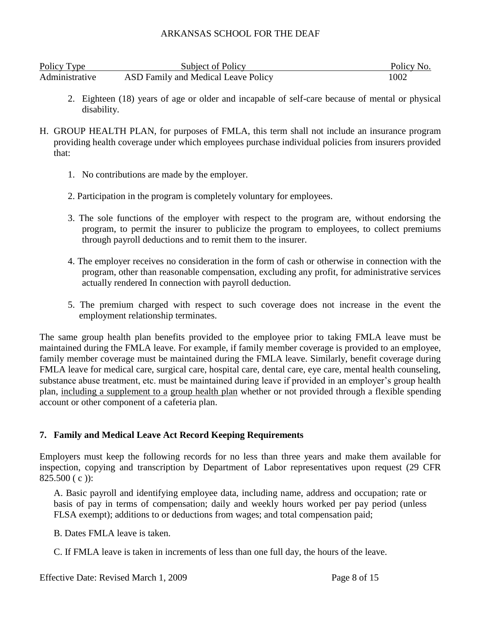| Policy Type    | Subject of Policy                   | Policy No. |
|----------------|-------------------------------------|------------|
| Administrative | ASD Family and Medical Leave Policy | 1002       |

- 2. Eighteen (18) years of age or older and incapable of self-care because of mental or physical disability.
- H. GROUP HEALTH PLAN, for purposes of FMLA, this term shall not include an insurance program providing health coverage under which employees purchase individual policies from insurers provided that:
	- 1. No contributions are made by the employer.
	- 2. Participation in the program is completely voluntary for employees.
	- 3. The sole functions of the employer with respect to the program are, without endorsing the program, to permit the insurer to publicize the program to employees, to collect premiums through payroll deductions and to remit them to the insurer.
	- 4. The employer receives no consideration in the form of cash or otherwise in connection with the program, other than reasonable compensation, excluding any profit, for administrative services actually rendered In connection with payroll deduction.
	- 5. The premium charged with respect to such coverage does not increase in the event the employment relationship terminates.

The same group health plan benefits provided to the employee prior to taking FMLA leave must be maintained during the FMLA leave. For example, if family member coverage is provided to an employee, family member coverage must be maintained during the FMLA leave. Similarly, benefit coverage during FMLA leave for medical care, surgical care, hospital care, dental care, eye care, mental health counseling, substance abuse treatment, etc. must be maintained during leave if provided in an employer's group health plan, including a supplement to a group health plan whether or not provided through a flexible spending account or other component of a cafeteria plan.

# **7. Family and Medical Leave Act Record Keeping Requirements**

Employers must keep the following records for no less than three years and make them available for inspection, copying and transcription by Department of Labor representatives upon request (29 CFR 825.500 ( c )):

A. Basic payroll and identifying employee data, including name, address and occupation; rate or basis of pay in terms of compensation; daily and weekly hours worked per pay period (unless FLSA exempt); additions to or deductions from wages; and total compensation paid;

B. Dates FMLA leave is taken.

C. If FMLA leave is taken in increments of less than one full day, the hours of the leave.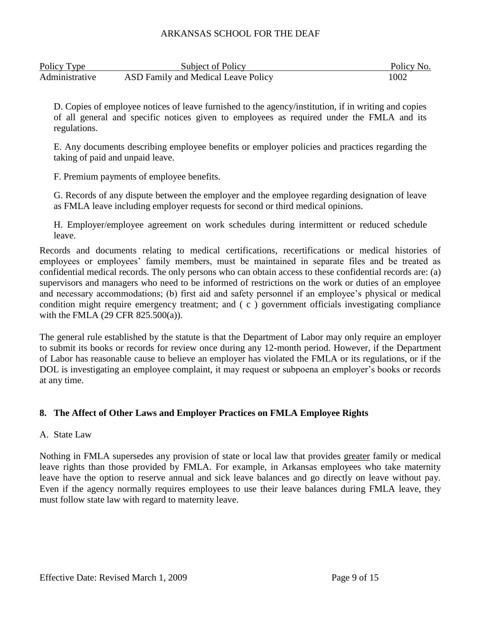| Policy Type    | Subject of Policy                   | Policy No. |
|----------------|-------------------------------------|------------|
| Administrative | ASD Family and Medical Leave Policy | 1002       |

D. Copies of employee notices of leave furnished to the agency/institution, if in writing and copies of all general and specific notices given to employees as required under the FMLA and its regulations.

E. Any documents describing employee benefits or employer policies and practices regarding the taking of paid and unpaid leave.

F. Premium payments of employee benefits.

G. Records of any dispute between the employer and the employee regarding designation of leave as FMLA leave including employer requests for second or third medical opinions.

H. Employer/employee agreement on work schedules during intermittent or reduced schedule leave.

Records and documents relating to medical certifications, recertifications or medical histories of employees or employees' family members, must be maintained in separate files and be treated as confidential medical records. The only persons who can obtain access to these confidential records are: (a) supervisors and managers who need to be informed of restrictions on the work or duties of an employee and necessary accommodations; (b) first aid and safety personnel if an employee's physical or medical condition might require emergency treatment; and ( c ) government officials investigating compliance with the FMLA (29 CFR 825.500(a)).

The general rule established by the statute is that the Department of Labor may only require an employer to submit its books or records for review once during any 12-month period. However, if the Department of Labor has reasonable cause to believe an employer has violated the FMLA or its regulations, or if the DOL is investigating an employee complaint, it may request or subpoena an employer's books or records at any time.

# **8. The Affect of Other Laws and Employer Practices on FMLA Employee Rights**

# A. State Law

Nothing in FMLA supersedes any provision of state or local law that provides greater family or medical leave rights than those provided by FMLA. For example, in Arkansas employees who take maternity leave have the option to reserve annual and sick leave balances and go directly on leave without pay. Even if the agency normally requires employees to use their leave balances during FMLA leave, they must follow state law with regard to maternity leave.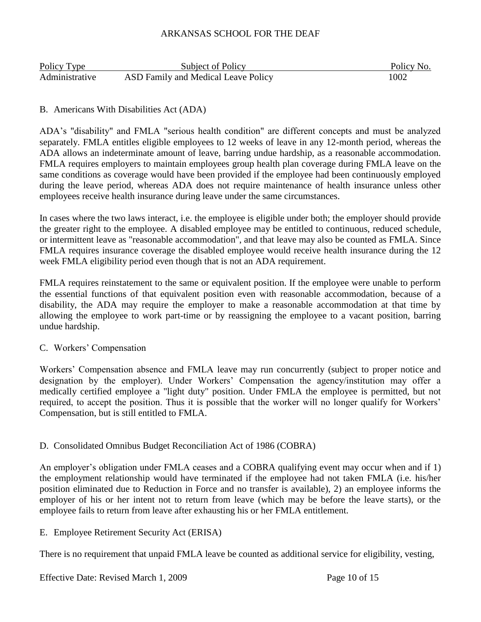| Policy Type    | Subject of Policy                   | Policy No. |
|----------------|-------------------------------------|------------|
| Administrative | ASD Family and Medical Leave Policy | 1002       |

### B. Americans With Disabilities Act (ADA)

ADA's "disability" and FMLA "serious health condition" are different concepts and must be analyzed separately. FMLA entitles eligible employees to 12 weeks of leave in any 12-month period, whereas the ADA allows an indeterminate amount of leave, barring undue hardship, as a reasonable accommodation. FMLA requires employers to maintain employees group health plan coverage during FMLA leave on the same conditions as coverage would have been provided if the employee had been continuously employed during the leave period, whereas ADA does not require maintenance of health insurance unless other employees receive health insurance during leave under the same circumstances.

In cases where the two laws interact, i.e. the employee is eligible under both; the employer should provide the greater right to the employee. A disabled employee may be entitled to continuous, reduced schedule, or intermittent leave as "reasonable accommodation", and that leave may also be counted as FMLA. Since FMLA requires insurance coverage the disabled employee would receive health insurance during the 12 week FMLA eligibility period even though that is not an ADA requirement.

FMLA requires reinstatement to the same or equivalent position. If the employee were unable to perform the essential functions of that equivalent position even with reasonable accommodation, because of a disability, the ADA may require the employer to make a reasonable accommodation at that time by allowing the employee to work part-time or by reassigning the employee to a vacant position, barring undue hardship.

#### C. Workers' Compensation

Workers' Compensation absence and FMLA leave may run concurrently (subject to proper notice and designation by the employer). Under Workers' Compensation the agency/institution may offer a medically certified employee a "light duty" position. Under FMLA the employee is permitted, but not required, to accept the position. Thus it is possible that the worker will no longer qualify for Workers' Compensation, but is still entitled to FMLA.

#### D. Consolidated Omnibus Budget Reconciliation Act of 1986 (COBRA)

An employer's obligation under FMLA ceases and a COBRA qualifying event may occur when and if 1) the employment relationship would have terminated if the employee had not taken FMLA (i.e. his/her position eliminated due to Reduction in Force and no transfer is available), 2) an employee informs the employer of his or her intent not to return from leave (which may be before the leave starts), or the employee fails to return from leave after exhausting his or her FMLA entitlement.

#### E. Employee Retirement Security Act (ERISA)

There is no requirement that unpaid FMLA leave be counted as additional service for eligibility, vesting,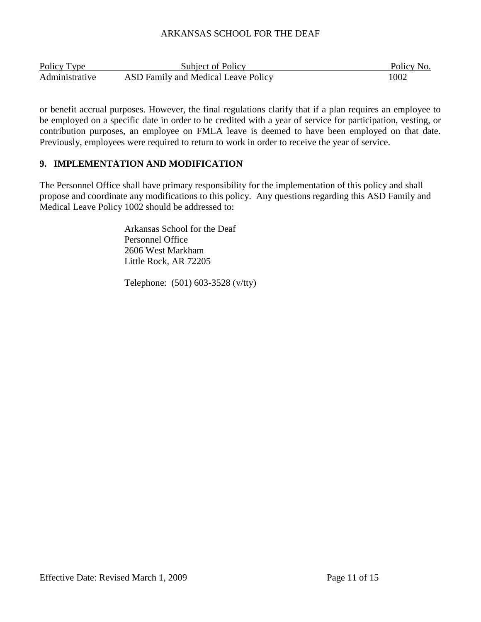| Policy Type    | Subject of Policy                   | Policy No. |
|----------------|-------------------------------------|------------|
| Administrative | ASD Family and Medical Leave Policy | 1002       |

or benefit accrual purposes. However, the final regulations clarify that if a plan requires an employee to be employed on a specific date in order to be credited with a year of service for participation, vesting, or contribution purposes, an employee on FMLA leave is deemed to have been employed on that date. Previously, employees were required to return to work in order to receive the year of service.

# **9. IMPLEMENTATION AND MODIFICATION**

The Personnel Office shall have primary responsibility for the implementation of this policy and shall propose and coordinate any modifications to this policy. Any questions regarding this ASD Family and Medical Leave Policy 1002 should be addressed to:

> Arkansas School for the Deaf Personnel Office 2606 West Markham Little Rock, AR 72205

Telephone: (501) 603-3528 (v/tty)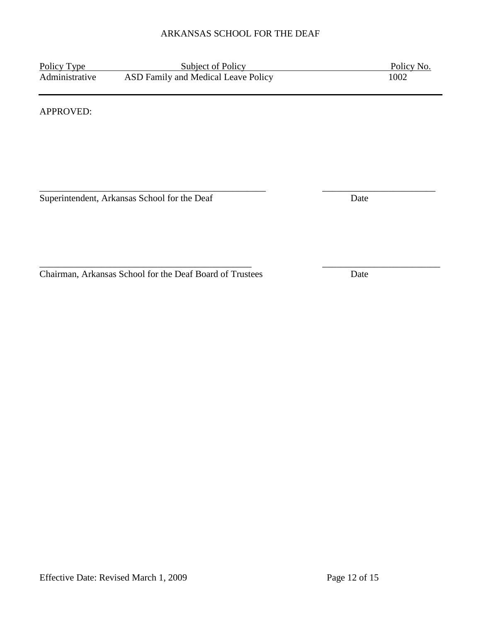\_\_\_\_\_\_\_\_\_\_\_\_\_\_\_\_\_\_\_\_\_\_\_\_\_\_\_\_\_\_\_\_\_\_\_\_\_\_\_\_\_\_\_\_\_ \_\_\_\_\_\_\_\_\_\_\_\_\_\_\_\_\_\_\_\_\_\_\_\_\_

Policy Type Subject of Policy Policy Policy No.<br>Administrative ASD Family and Medical Leave Policy 1002 ASD Family and Medical Leave Policy

APPROVED:

\_\_\_\_\_\_\_\_\_\_\_\_\_\_\_\_\_\_\_\_\_\_\_\_\_\_\_\_\_\_\_\_\_\_\_\_\_\_\_\_\_\_\_\_\_\_\_\_ \_\_\_\_\_\_\_\_\_\_\_\_\_\_\_\_\_\_\_\_\_\_\_\_ Superintendent, Arkansas School for the Deaf Date

Chairman, Arkansas School for the Deaf Board of Trustees Date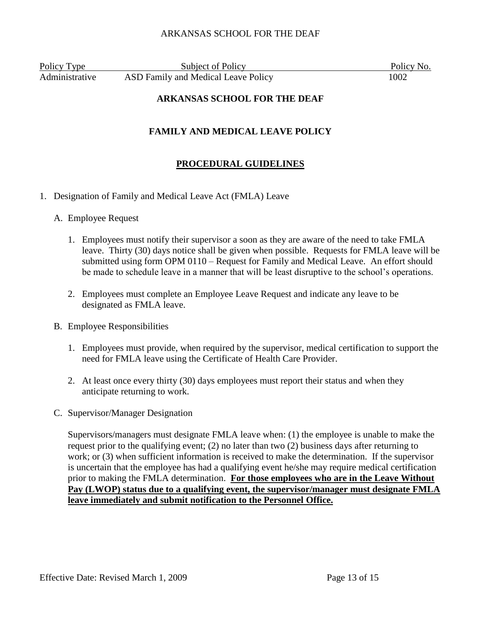Policy Type Subject of Policy Policy Policy No. Administrative ASD Family and Medical Leave Policy 1002

### **ARKANSAS SCHOOL FOR THE DEAF**

# **FAMILY AND MEDICAL LEAVE POLICY**

# **PROCEDURAL GUIDELINES**

- 1. Designation of Family and Medical Leave Act (FMLA) Leave
	- A. Employee Request
		- 1. Employees must notify their supervisor a soon as they are aware of the need to take FMLA leave. Thirty (30) days notice shall be given when possible. Requests for FMLA leave will be submitted using form OPM 0110 – Request for Family and Medical Leave. An effort should be made to schedule leave in a manner that will be least disruptive to the school's operations.
		- 2. Employees must complete an Employee Leave Request and indicate any leave to be designated as FMLA leave.
	- B. Employee Responsibilities
		- 1. Employees must provide, when required by the supervisor, medical certification to support the need for FMLA leave using the Certificate of Health Care Provider.
		- 2. At least once every thirty (30) days employees must report their status and when they anticipate returning to work.
	- C. Supervisor/Manager Designation

Supervisors/managers must designate FMLA leave when: (1) the employee is unable to make the request prior to the qualifying event; (2) no later than two (2) business days after returning to work; or (3) when sufficient information is received to make the determination. If the supervisor is uncertain that the employee has had a qualifying event he/she may require medical certification prior to making the FMLA determination. **For those employees who are in the Leave Without Pay (LWOP) status due to a qualifying event, the supervisor/manager must designate FMLA leave immediately and submit notification to the Personnel Office.**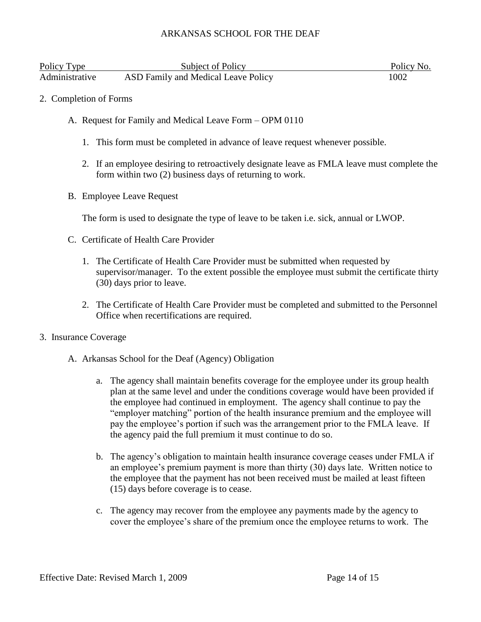| Policy Type    | Subject of Policy                   | Policy No. |
|----------------|-------------------------------------|------------|
| Administrative | ASD Family and Medical Leave Policy | 1002       |

- 2. Completion of Forms
	- A. Request for Family and Medical Leave Form OPM 0110
		- 1. This form must be completed in advance of leave request whenever possible.
		- 2. If an employee desiring to retroactively designate leave as FMLA leave must complete the form within two (2) business days of returning to work.
	- B. Employee Leave Request

The form is used to designate the type of leave to be taken i.e. sick, annual or LWOP.

- C. Certificate of Health Care Provider
	- 1. The Certificate of Health Care Provider must be submitted when requested by supervisor/manager. To the extent possible the employee must submit the certificate thirty (30) days prior to leave.
	- 2. The Certificate of Health Care Provider must be completed and submitted to the Personnel Office when recertifications are required.
- 3. Insurance Coverage
	- A. Arkansas School for the Deaf (Agency) Obligation
		- a. The agency shall maintain benefits coverage for the employee under its group health plan at the same level and under the conditions coverage would have been provided if the employee had continued in employment. The agency shall continue to pay the "employer matching" portion of the health insurance premium and the employee will pay the employee's portion if such was the arrangement prior to the FMLA leave. If the agency paid the full premium it must continue to do so.
		- b. The agency's obligation to maintain health insurance coverage ceases under FMLA if an employee's premium payment is more than thirty (30) days late. Written notice to the employee that the payment has not been received must be mailed at least fifteen (15) days before coverage is to cease.
		- c. The agency may recover from the employee any payments made by the agency to cover the employee's share of the premium once the employee returns to work. The